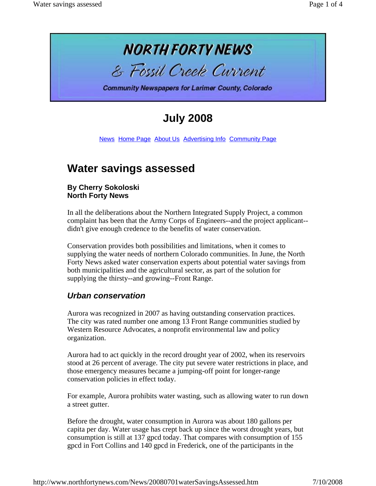

# **July 2008**

News Home Page About Us Advertising Info Community Page

# **Water savings assessed**

#### **By Cherry Sokoloski North Forty News**

In all the deliberations about the Northern Integrated Supply Project, a common complaint has been that the Army Corps of Engineers--and the project applicant- didn't give enough credence to the benefits of water conservation.

Conservation provides both possibilities and limitations, when it comes to supplying the water needs of northern Colorado communities. In June, the North Forty News asked water conservation experts about potential water savings from both municipalities and the agricultural sector, as part of the solution for supplying the thirsty--and growing--Front Range.

## *Urban conservation*

Aurora was recognized in 2007 as having outstanding conservation practices. The city was rated number one among 13 Front Range communities studied by Western Resource Advocates, a nonprofit environmental law and policy organization.

Aurora had to act quickly in the record drought year of 2002, when its reservoirs stood at 26 percent of average. The city put severe water restrictions in place, and those emergency measures became a jumping-off point for longer-range conservation policies in effect today.

For example, Aurora prohibits water wasting, such as allowing water to run down a street gutter.

Before the drought, water consumption in Aurora was about 180 gallons per capita per day. Water usage has crept back up since the worst drought years, but consumption is still at 137 gpcd today. That compares with consumption of 155 gpcd in Fort Collins and 140 gpcd in Frederick, one of the participants in the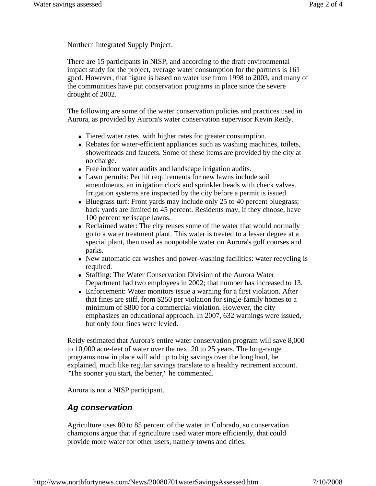Northern Integrated Supply Project.

There are 15 participants in NISP, and according to the draft environmental impact study for the project, average water consumption for the partners is 161 gpcd. However, that figure is based on water use from 1998 to 2003, and many of the communities have put conservation programs in place since the severe drought of 2002.

The following are some of the water conservation policies and practices used in Aurora, as provided by Aurora's water conservation supervisor Kevin Reidy.

- Tiered water rates, with higher rates for greater consumption.
- Rebates for water-efficient appliances such as washing machines, toilets, showerheads and faucets. Some of these items are provided by the city at no charge.
- Free indoor water audits and landscape irrigation audits.
- Lawn permits: Permit requirements for new lawns include soil amendments, an irrigation clock and sprinkler heads with check valves. Irrigation systems are inspected by the city before a permit is issued.
- Bluegrass turf: Front yards may include only 25 to 40 percent bluegrass; back yards are limited to 45 percent. Residents may, if they choose, have 100 percent xeriscape lawns.
- Reclaimed water: The city reuses some of the water that would normally go to a water treatment plant. This water is treated to a lesser degree at a special plant, then used as nonpotable water on Aurora's golf courses and parks.
- New automatic car washes and power-washing facilities: water recycling is required.
- Staffing: The Water Conservation Division of the Aurora Water Department had two employees in 2002; that number has increased to 13.
- Enforcement: Water monitors issue a warning for a first violation. After that fines are stiff, from \$250 per violation for single-family homes to a minimum of \$800 for a commercial violation. However, the city emphasizes an educational approach. In 2007, 632 warnings were issued, but only four fines were levied.

Reidy estimated that Aurora's entire water conservation program will save 8,000 to 10,000 acre-feet of water over the next 20 to 25 years. The long-range programs now in place will add up to big savings over the long haul, he explained, much like regular savings translate to a healthy retirement account. "The sooner you start, the better," he commented.

Aurora is not a NISP participant.

## *Ag conservation*

Agriculture uses 80 to 85 percent of the water in Colorado, so conservation champions argue that if agriculture used water more efficiently, that could provide more water for other users, namely towns and cities.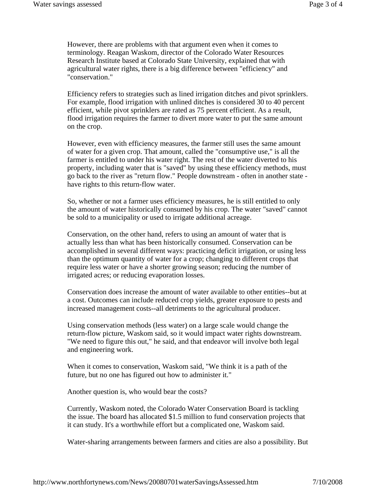However, there are problems with that argument even when it comes to terminology. Reagan Waskom, director of the Colorado Water Resources Research Institute based at Colorado State University, explained that with agricultural water rights, there is a big difference between "efficiency" and "conservation."

Efficiency refers to strategies such as lined irrigation ditches and pivot sprinklers. For example, flood irrigation with unlined ditches is considered 30 to 40 percent efficient, while pivot sprinklers are rated as 75 percent efficient. As a result, flood irrigation requires the farmer to divert more water to put the same amount on the crop.

However, even with efficiency measures, the farmer still uses the same amount of water for a given crop. That amount, called the "consumptive use," is all the farmer is entitled to under his water right. The rest of the water diverted to his property, including water that is "saved" by using these efficiency methods, must go back to the river as "return flow." People downstream - often in another state have rights to this return-flow water.

So, whether or not a farmer uses efficiency measures, he is still entitled to only the amount of water historically consumed by his crop. The water "saved" cannot be sold to a municipality or used to irrigate additional acreage.

Conservation, on the other hand, refers to using an amount of water that is actually less than what has been historically consumed. Conservation can be accomplished in several different ways: practicing deficit irrigation, or using less than the optimum quantity of water for a crop; changing to different crops that require less water or have a shorter growing season; reducing the number of irrigated acres; or reducing evaporation losses.

Conservation does increase the amount of water available to other entities--but at a cost. Outcomes can include reduced crop yields, greater exposure to pests and increased management costs--all detriments to the agricultural producer.

Using conservation methods (less water) on a large scale would change the return-flow picture, Waskom said, so it would impact water rights downstream. "We need to figure this out," he said, and that endeavor will involve both legal and engineering work.

When it comes to conservation, Waskom said, "We think it is a path of the future, but no one has figured out how to administer it."

Another question is, who would bear the costs?

Currently, Waskom noted, the Colorado Water Conservation Board is tackling the issue. The board has allocated \$1.5 million to fund conservation projects that it can study. It's a worthwhile effort but a complicated one, Waskom said.

Water-sharing arrangements between farmers and cities are also a possibility. But